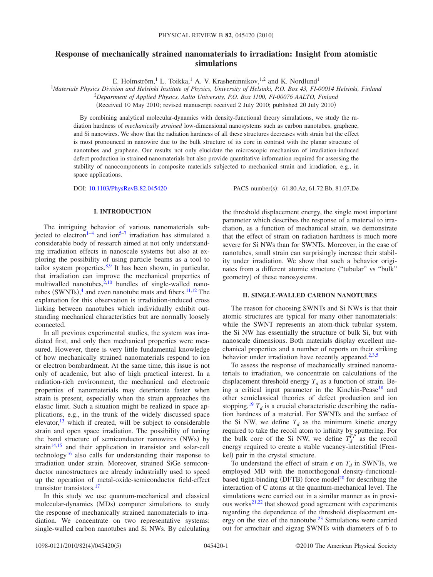# **Response of mechanically strained nanomaterials to irradiation: Insight from atomistic simulations**

E. Holmström, <sup>1</sup> L. Toikka, <sup>1</sup> A. V. Krasheninnikov, <sup>1,2</sup> and K. Nordlund<sup>1</sup>

1 *Materials Physics Division and Helsinki Institute of Physics, University of Helsinki, P.O. Box 43, FI-00014 Helsinki, Finland*

2 *Department of Applied Physics, Aalto University, P.O. Box 1100, FI-00076 AALTO, Finland*

Received 10 May 2010; revised manuscript received 2 July 2010; published 20 July 2010-

By combining analytical molecular-dynamics with density-functional theory simulations, we study the radiation hardness of *mechanically strained* low-dimensional nanosystems such as carbon nanotubes, graphene, and Si nanowires. We show that the radiation hardness of all these structures decreases with strain but the effect is most pronounced in nanowire due to the bulk structure of its core in contrast with the planar structure of nanotubes and graphene. Our results not only elucidate the microscopic mechanism of irradiation-induced defect production in strained nanomaterials but also provide quantitative information required for assessing the stability of nanocomponents in composite materials subjected to mechanical strain and irradiation, e.g., in space applications.

DOI: [10.1103/PhysRevB.82.045420](http://dx.doi.org/10.1103/PhysRevB.82.045420)

PACS number(s): 61.80.Az, 61.72.Bb, 81.07.De

## **I. INTRODUCTION**

The intriguing behavior of various nanomaterials sub-jected to electron<sup>1–[4](#page-3-1)</sup> and ion<sup>5[–7](#page-4-1)</sup> irradiation has stimulated a considerable body of research aimed at not only understanding irradiation effects in nanoscale systems but also at exploring the possibility of using particle beams as a tool to tailor system properties. $8.9$  $8.9$  It has been shown, in particular, that irradiation can improve the mechanical properties of multiwalled nanotubes, $\frac{2,10}{ }$  $\frac{2,10}{ }$  $\frac{2,10}{ }$  bundles of single-walled nanotubes  $(SWNTs)$ ,<sup>[4](#page-3-1)</sup> and even nanotube mats and fibers.<sup>11[,12](#page-4-6)</sup> The explanation for this observation is irradiation-induced cross linking between nanotubes which individually exhibit outstanding mechanical characteristics but are normally loosely connected.

In all previous experimental studies, the system was irradiated first, and only then mechanical properties were measured. However, there is very little fundamental knowledge of how mechanically strained nanomaterials respond to ion or electron bombardment. At the same time, this issue is not only of academic, but also of high practical interest. In a radiation-rich environment, the mechanical and electronic properties of nanomaterials may deteriorate faster when strain is present, especially when the strain approaches the elastic limit. Such a situation might be realized in space applications, e.g., in the trunk of the widely discussed space elevator, $13$  which if created, will be subject to considerable strain and open space irradiation. The possibility of tuning the band structure of semiconductor nanowires (NWs) by  $strain<sup>14,15</sup>$  $strain<sup>14,15</sup>$  $strain<sup>14,15</sup>$  and their application in transistor and solar-cell technolog[y16](#page-4-10) also calls for understanding their response to irradiation under strain. Moreover, strained SiGe semiconductor nanostructures are already industrially used to speed up the operation of metal-oxide-semiconductor field-effect transistors.<sup>17</sup>

In this study we use quantum-mechanical and classical molecular-dynamics (MDs) computer simulations to study the response of mechanically strained nanomaterials to irradiation. We concentrate on two representative systems: single-walled carbon nanotubes and Si NWs. By calculating the threshold displacement energy, the single most important parameter which describes the response of a material to irradiation, as a function of mechanical strain, we demonstrate that the effect of strain on radiation hardness is much more severe for Si NWs than for SWNTs. Moreover, in the case of nanotubes, small strain can surprisingly increase their stability under irradiation. We show that such a behavior originates from a different atomic structure ("tubular" vs "bulk" geometry) of these nanosystems.

# **II. SINGLE-WALLED CARBON NANOTUBES**

The reason for choosing SWNTs and Si NWs is that their atomic structures are typical for many other nanomaterials: while the SWNT represents an atom-thick tubular system, the Si NW has essentially the structure of bulk Si, but with nanoscale dimensions. Both materials display excellent mechanical properties and a number of reports on their striking behavior under irradiation have recently appeared. $2,3,5$  $2,3,5$  $2,3,5$ 

To assess the response of mechanically strained nanomaterials to irradiation, we concentrate on calculations of the displacement threshold energy  $T_d$  as a function of strain. Being a critical input parameter in the Kinchin-Pease<sup>18</sup> and other semiclassical theories of defect production and ion stopping,<sup>19</sup>  $T<sub>d</sub>$  is a crucial characteristic describing the radiation hardness of a material. For SWNTs and the surface of the Si NW, we define  $T_d$  as the minimum kinetic energy required to take the recoil atom to infinity by sputtering. For the bulk core of the Si NW, we define  $T_d^{FP}$  as the recoil energy required to create a stable vacancy-interstitial (Frenkel) pair in the crystal structure.

To understand the effect of strain  $\epsilon$  on  $T_d$  in SWNTs, we employed MD with the nonorthogonal density-functionalbased tight-binding (DFTB) force model<sup>20</sup> for describing the interaction of C atoms at the quantum-mechanical level. The simulations were carried out in a similar manner as in previ-ous works<sup>21[,22](#page-4-16)</sup> that showed good agreement with experiments regarding the dependence of the threshold displacement energy on the size of the nanotube[.23](#page-4-17) Simulations were carried out for armchair and zigzag SWNTs with diameters of 6 to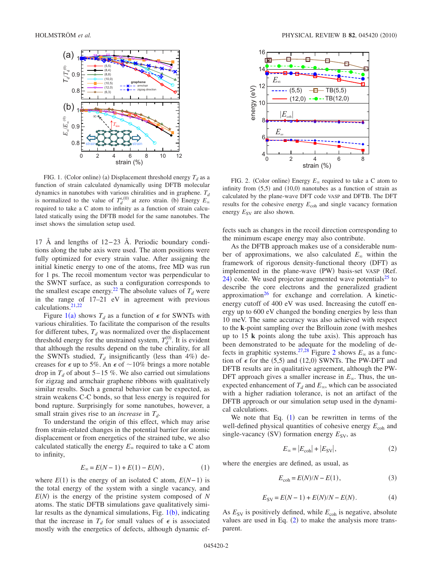<span id="page-1-0"></span>

FIG. 1. (Color online) (a) Displacement threshold energy  $T_d$  as a function of strain calculated dynamically using DFTB molecular dynamics in nanotubes with various chiralities and in graphene.  $T_d$ is normalized to the value of  $T_d^{s,(0)}$  at zero strain. (b) Energy  $E_\infty$  required to take a C atom to infinity as a function of strain calculated statically using the DFTB model for the same nanotubes. The inset shows the simulation setup used.

17 Å and lengths of 12−23 Å. Periodic boundary conditions along the tube axis were used. The atom positions were fully optimized for every strain value. After assigning the initial kinetic energy to one of the atoms, free MD was run for 1 ps. The recoil momentum vector was perpendicular to the SWNT surface, as such a configuration corresponds to the smallest escape energy.<sup>22</sup> The absolute values of  $T<sub>d</sub>$  were in the range of 17–21 eV in agreement with previous calculations[.21](#page-4-15)[,22](#page-4-16)

Figure  $1(a)$  $1(a)$  shows  $T_d$  as a function of  $\epsilon$  for SWNTs with various chiralities. To facilitate the comparison of the results for different tubes,  $T_d$  was normalized over the displacement threshold energy for the unstrained system,  $T_d^{(0)}$ . It is evident that although the results depend on the tube chirality, for all the SWNTs studied,  $T_d$  insignificantly (less than 4%) decreases for  $\epsilon$  up to 5%. An  $\epsilon$  of  $\sim$ 10% brings a more notable drop in  $T_d$  of about 5–15 %. We also carried out simulations for zigzag and armchair graphene ribbons with qualitatively similar results. Such a general behavior can be expected, as strain weakens C-C bonds, so that less energy is required for bond rupture. Surprisingly for some nanotubes, however, a small strain gives rise to an *increase* in  $T_d$ .

To understand the origin of this effect, which may arise from strain-related changes in the potential barrier for atomic displacement or from energetics of the strained tube, we also calculated statically the energy  $E_{\infty}$  required to take a C atom to infinity,

$$
E_{\infty} = E(N - 1) + E(1) - E(N), \tag{1}
$$

<span id="page-1-2"></span>where  $E(1)$  is the energy of an isolated C atom,  $E(N-1)$  is the total energy of the system with a single vacancy, and  $E(N)$  is the energy of the pristine system composed of  $N$ atoms. The static DFTB simulations gave qualitatively similar results as the dynamical simulations, Fig.  $1(b)$  $1(b)$ , indicating that the increase in  $T<sub>d</sub>$  for small values of  $\epsilon$  is associated mostly with the energetics of defects, although dynamic ef-

<span id="page-1-1"></span>

FIG. 2. (Color online) Energy  $E_{\infty}$  required to take a C atom to infinity from  $(5,5)$  and  $(10,0)$  nanotubes as a function of strain as calculated by the plane-wave DFT code VASP and DFTB. The DFT results for the cohesive energy  $E_{coh}$  and single vacancy formation energy  $E_{SV}$  are also shown.

fects such as changes in the recoil direction corresponding to the minimum escape energy may also contribute.

As the DFTB approach makes use of a considerable number of approximations, we also calculated  $E_{\infty}$  within the framework of rigorous density-functional theory (DFT) as implemented in the plane-wave (PW) basis-set VASP (Ref.  $(24)$  $(24)$  $(24)$  code. We used projector augmented wave potentials<sup>25</sup> to describe the core electrons and the generalized gradient approximation $^{26}$  for exchange and correlation. A kineticenergy cutoff of 400 eV was used. Increasing the cutoff energy up to 600 eV changed the bonding energies by less than 10 meV. The same accuracy was also achieved with respect to the **k**-point sampling over the Brillouin zone (with meshes up to  $15 \text{ k}$  points along the tube axis). This approach has been demonstrated to be adequate for the modeling of de-fects in graphitic systems.<sup>27,[28](#page-4-22)</sup> Figure [2](#page-1-1) shows  $E_{\infty}$  as a function of  $\epsilon$  for the (5,5) and (12,0) SWNTs. The PW-DFT and DFTB results are in qualitative agreement, although the PW-DFT approach gives a smaller increase in  $E_{\infty}$ . Thus, the unexpected enhancement of  $T_d$  and  $E_\infty$ , which can be associated with a higher radiation tolerance, is not an artifact of the DFTB approach or our simulation setup used in the dynamical calculations.

We note that Eq.  $(1)$  $(1)$  $(1)$  can be rewritten in terms of the well-defined physical quantities of cohesive energy  $E_{coh}$  and single-vacancy (SV) formation energy  $E_{SV}$ , as

$$
E_{\infty} = |E_{\text{coh}}| + |E_{\text{SV}}|,\tag{2}
$$

<span id="page-1-3"></span>where the energies are defined, as usual, as

$$
E_{\rm coh} = E(N)/N - E(1),\tag{3}
$$

$$
E_{SV} = E(N-1) + E(N)/N - E(N).
$$
 (4)

As  $E_{SV}$  is positively defined, while  $E_{coh}$  is negative, absolute values are used in Eq.  $(2)$  $(2)$  $(2)$  to make the analysis more transparent.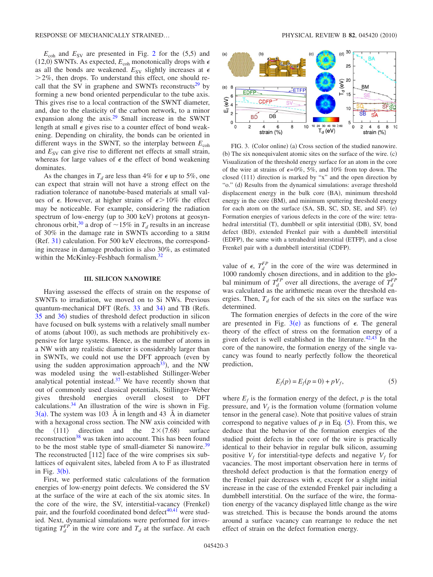$E_{\rm coh}$  and  $E_{\rm SV}$  are presented in Fig. [2](#page-1-1) for the  $(5,5)$  and (12,0) SWNTs. As expected,  $E_{coh}$  monotonically drops with  $\epsilon$ as all the bonds are weakened.  $E_{SV}$  slightly increases at  $\epsilon$  $>$  2%, then drops. To understand this effect, one should recall that the SV in graphene and SWNTs reconstructs<sup>29</sup> by forming a new bond oriented perpendicular to the tube axis. This gives rise to a local contraction of the SWNT diameter, and, due to the elasticity of the carbon network, to a minor expansion along the  $axis.<sup>29</sup>$  Small increase in the SWNT length at small  $\epsilon$  gives rise to a counter effect of bond weakening. Depending on chirality, the bonds can be oriented in different ways in the SWNT, so the interplay between  $E_{coh}$ and  $E_{SV}$  can give rise to different net effects at small strain, whereas for large values of  $\epsilon$  the effect of bond weakening dominates.

As the changes in  $T_d$  are less than 4% for  $\epsilon$  up to 5%, one can expect that strain will not have a strong effect on the radiation tolerance of nanotube-based materials at small values of  $\epsilon$ . However, at higher strains of  $\epsilon > 10\%$  the effect may be noticeable. For example, considering the radiation spectrum of low-energy (up to 300 keV) protons at geosynchronous orbit,<sup>30</sup> a drop of  $\sim$  15% in  $T_d$  results in an increase of 30% in the damage rate in SWNTs according to a SRIM  $(Ref. 31)$  $(Ref. 31)$  $(Ref. 31)$  calculation. For 500 keV electrons, the corresponding increase in damage production is also 30%, as estimated within the McKinley-Feshbach formalism.<sup>32</sup>

#### **III. SILICON NANOWIRE**

Having assessed the effects of strain on the response of SWNTs to irradiation, we moved on to Si NWs. Previous quantum-mechanical DFT (Refs. [33](#page-4-27) and [34](#page-4-28)) and TB (Refs. [35](#page-4-29) and [36](#page-4-30)) studies of threshold defect production in silicon have focused on bulk systems with a relatively small number of atoms (about 100), as such methods are prohibitively expensive for large systems. Hence, as the number of atoms in a NW with any realistic diameter is considerably larger than in SWNTs, we could not use the DFT approach (even by using the sudden approximation approach<sup>33</sup>), and the NW was modeled using the well-established Stillinger-Weber analytical potential instead. $37$  We have recently shown that out of commonly used classical potentials, Stillinger-Weber gives threshold energies overall closest to DFT calculations. $34$  An illustration of the wire is shown in Fig.  $3(a)$  $3(a)$ . The system was 103 Å in length and 43 Å in diameter with a hexagonal cross section. The NW axis coincided with the  $\langle 111 \rangle$  direction and the  $2 \times (7.68)$  surface reconstruction<sup>38</sup> was taken into account. This has been found to be the most stable type of small-diameter Si nanowire.<sup>39</sup> The reconstructed  $[112]$  face of the wire comprises six sublattices of equivalent sites, labeled from A to F as illustrated in Fig.  $3(b)$  $3(b)$ .

First, we performed static calculations of the formation energies of low-energy point defects. We considered the SV at the surface of the wire at each of the six atomic sites. In the core of the wire, the SV, interstitial-vacancy (Frenkel) pair, and the fourfold coordinated bond defect $40,41$  $40,41$  were studied. Next, dynamical simulations were performed for investigating  $T_d^{FP}$  in the wire core and  $T_d$  at the surface. At each

<span id="page-2-0"></span>

FIG. 3. (Color online) (a) Cross section of the studied nanowire. (b) The six nonequivalent atomic sites on the surface of the wire. (c) Visualization of the threshold energy surface for an atom in the core of the wire at strains of  $\epsilon = 0\%$ , 5%, and 10% from top down. The closed  $\langle 111 \rangle$  direction is marked by "x" and the open direction by "o." (d) Results from the dynamical simulations: average threshold displacement energy in the bulk core (BA), minimum threshold energy in the core (BM), and minimum sputtering threshold energy for each atom on the surface (SA, SB, SC, SD, SE, and SF). (e) Formation energies of various defects in the core of the wire: tetrahedral interstitial (T), dumbbell or split interstitial (DB), SV, bond defect (BD), extended Frenkel pair with a dumbbell interstitial (EDFP), the same with a tetrahedral interstitial (ETFP), and a close Frenkel pair with a dumbbell interstitial (CDFP).

value of  $\epsilon$ ,  $T_d^{FP}$  in the core of the wire was determined in 1000 randomly chosen directions, and in addition to the global minimum of  $T_d^{FP}$  over all directions, the average of  $T_d^{FP}$ was calculated as the arithmetic mean over the threshold energies. Then,  $T_d$  for each of the six sites on the surface was determined.

The formation energies of defects in the core of the wire are presented in Fig.  $3(e)$  $3(e)$  as functions of  $\epsilon$ . The general theory of the effect of stress on the formation energy of a given defect is well established in the literature.<sup>42[,43](#page-4-37)</sup> In the core of the nanowire, the formation energy of the single vacancy was found to nearly perfectly follow the theoretical prediction,

$$
E_f(p) = E_f(p=0) + pV_f,
$$
 (5)

<span id="page-2-1"></span>where  $E_f$  is the formation energy of the defect,  $p$  is the total pressure, and  $V_f$  is the formation volume (formation volume tensor in the general case). Note that positive values of strain correspond to negative values of  $p$  in Eq.  $(5)$  $(5)$  $(5)$ . From this, we deduce that the behavior of the formation energies of the studied point defects in the core of the wire is practically identical to their behavior in regular bulk silicon, assuming positive  $V_f$  for interstitial-type defects and negative  $V_f$  for vacancies. The most important observation here in terms of threshold defect production is that the formation energy of the Frenkel pair decreases with  $\epsilon$ , except for a slight initial increase in the case of the extended Frenkel pair including a dumbbell interstitial. On the surface of the wire, the formation energy of the vacancy displayed little change as the wire was stretched. This is because the bonds around the atoms around a surface vacancy can rearrange to reduce the net effect of strain on the defect formation energy.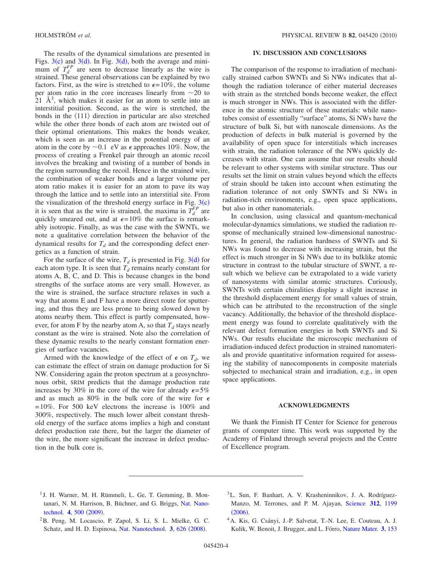The results of the dynamical simulations are presented in Figs.  $3(c)$  $3(c)$  and  $3(d)$ . In Fig.  $3(d)$ , both the average and minimum of  $T_d^{FP}$  are seen to decrease linearly as the wire is strained. These general observations can be explained by two factors. First, as the wire is stretched to  $\epsilon = 10\%$ , the volume per atom ratio in the core increases linearly from  $\sim$ 20 to  $21 \text{ Å}^3$ , which makes it easier for an atom to settle into an interstitial position. Second, as the wire is stretched, the bonds in the  $\langle 111 \rangle$  direction in particular are also stretched while the other three bonds of each atom are twisted out of their optimal orientations. This makes the bonds weaker, which is seen as an increase in the potential energy of an atom in the core by  $\sim 0.1$  eV as  $\epsilon$  approaches 10%. Now, the process of creating a Frenkel pair through an atomic recoil involves the breaking and twisting of a number of bonds in the region surrounding the recoil. Hence in the strained wire, the combination of weaker bonds and a larger volume per atom ratio makes it is easier for an atom to pave its way through the lattice and to settle into an interstitial site. From the visualization of the threshold energy surface in Fig.  $3(c)$  $3(c)$ it is seen that as the wire is strained, the maxima in  $T_d^{FP}$  are quickly smeared out, and at  $\epsilon = 10\%$  the surface is remarkably isotropic. Finally, as was the case with the SWNTs, we note a qualitative correlation between the behavior of the dynamical results for  $T<sub>d</sub>$  and the corresponding defect energetics as a function of strain.

For the surface of the wire,  $T_d$  is presented in Fig. [3](#page-2-0)(d) for each atom type. It is seen that  $T<sub>d</sub>$  remains nearly constant for atoms A, B, C, and D. This is because changes in the bond strengths of the surface atoms are very small. However, as the wire is strained, the surface structure relaxes in such a way that atoms E and F have a more direct route for sputtering, and thus they are less prone to being slowed down by atoms nearby them. This effect is partly compensated, however, for atom F by the nearby atom A, so that  $T_d$  stays nearly constant as the wire is strained. Note also the correlation of these dynamic results to the nearly constant formation energies of surface vacancies.

Armed with the knowledge of the effect of  $\epsilon$  on  $T_d$ , we can estimate the effect of strain on damage production for Si NW. Considering again the proton spectrum at a geosynchronous orbit, SRIM predicts that the damage production rate increases by 30% in the core of the wire for already  $\epsilon = 5\%$ and as much as 80% in the bulk core of the wire for  $\epsilon$ =10%. For 500 keV electrons the increase is 100% and 300%, respectively. The much lower albeit constant threshold energy of the surface atoms implies a high and constant defect production rate there, but the larger the diameter of the wire, the more significant the increase in defect production in the bulk core is.

### **IV. DISCUSSION AND CONCLUSIONS**

The comparison of the response to irradiation of mechanically strained carbon SWNTs and Si NWs indicates that although the radiation tolerance of either material decreases with strain as the stretched bonds become weaker, the effect is much stronger in NWs. This is associated with the difference in the atomic structure of these materials: while nanotubes consist of essentially "surface" atoms, Si NWs have the structure of bulk Si, but with nanoscale dimensions. As the production of defects in bulk material is governed by the availability of open space for interstitials which increases with strain, the radiation tolerance of the NWs quickly decreases with strain. One can assume that our results should be relevant to other systems with similar structure. Thus our results set the limit on strain values beyond which the effects of strain should be taken into account when estimating the radiation tolerance of not only SWNTs and Si NWs in radiation-rich environments, e.g., open space applications, but also in other nanomaterials.

In conclusion, using classical and quantum-mechanical molecular-dynamics simulations, we studied the radiation response of mechanically strained low-dimensional nanostructures. In general, the radiation hardness of SWNTs and Si NWs was found to decrease with increasing strain, but the effect is much stronger in Si NWs due to its bulklike atomic structure in contrast to the tubular structure of SWNT, a result which we believe can be extrapolated to a wide variety of nanosystems with similar atomic structures. Curiously, SWNTs with certain chiralities display a slight increase in the threshold displacement energy for small values of strain, which can be attributed to the reconstruction of the single vacancy. Additionally, the behavior of the threshold displacement energy was found to correlate qualitatively with the relevant defect formation energies in both SWNTs and Si NWs. Our results elucidate the microscopic mechanism of irradiation-induced defect production in strained nanomaterials and provide quantitative information required for assessing the stability of nanocomponents in composite materials subjected to mechanical strain and irradiation, e.g., in open space applications.

### **ACKNOWLEDGMENTS**

We thank the Finnish IT Center for Science for generous grants of computer time. This work was supported by the Academy of Finland through several projects and the Centre of Excellence program.

- <span id="page-3-0"></span><sup>1</sup> J. H. Warner, M. H. Rümmeli, L. Ge, T. Gemming, B. Montanari, N. M. Harrison, B. Büchner, and G. Briggs, [Nat. Nano](http://dx.doi.org/10.1038/nnano.2009.194)[technol.](http://dx.doi.org/10.1038/nnano.2009.194) **4**, 500 (2009).
- <span id="page-3-2"></span>2B. Peng, M. Locascio, P. Zapol, S. Li, S. L. Mielke, G. C. Schatz, and H. D. Espinosa, [Nat. Nanotechnol.](http://dx.doi.org/10.1038/nnano.2008.211) 3, 626 (2008).
- <span id="page-3-3"></span>3L. Sun, F. Banhart, A. V. Krasheninnikov, J. A. Rodríguez-Manzo, M. Terrones, and P. M. Ajayan, [Science](http://dx.doi.org/10.1126/science.1124594) **312**, 1199  $(2006).$  $(2006).$  $(2006).$
- <span id="page-3-1"></span>4A. Kis, G. Csányi, J.-P. Salvetat, T.-N. Lee, E. Couteau, A. J. Kulik, W. Benoit, J. Brugger, and L. Fórro, [Nature Mater.](http://dx.doi.org/10.1038/nmat1076) **3**, 153